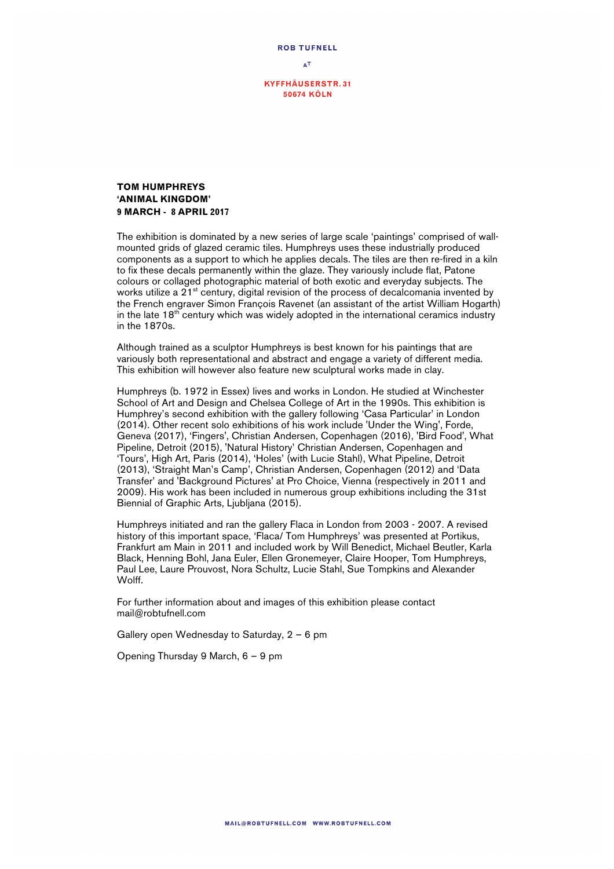

## **TOM HUMPHREYS 'ANIMAL KINGDOM' 9 MARCH - 8 APRIL 2017**

The exhibition is dominated by a new series of large scale 'paintings' comprised of wallmounted grids of glazed ceramic tiles. Humphreys uses these industrially produced components as a support to which he applies decals. The tiles are then re-fired in a kiln to fix these decals permanently within the glaze. They variously include flat, Patone colours or collaged photographic material of both exotic and everyday subjects. The works utilize a  $21<sup>st</sup>$  century, digital revision of the process of decalcomania invented by the French engraver Simon François Ravenet (an assistant of the artist William Hogarth) in the late  $18^{th}$  century which was widely adopted in the international ceramics industry in the 1870s.

Although trained as a sculptor Humphreys is best known for his paintings that are variously both representational and abstract and engage a variety of different media. This exhibition will however also feature new sculptural works made in clay.

Humphreys (b. 1972 in Essex) lives and works in London. He studied at Winchester School of Art and Design and Chelsea College of Art in the 1990s. This exhibition is Humphrey's second exhibition with the gallery following 'Casa Particular' in London (2014). Other recent solo exhibitions of his work include 'Under the Wing', Forde, Geneva (2017), 'Fingers', Christian Andersen, Copenhagen (2016), 'Bird Food', What Pipeline, Detroit (2015), 'Natural History' Christian Andersen, Copenhagen and 'Tours', High Art, Paris (2014), 'Holes' (with Lucie Stahl), What Pipeline, Detroit (2013), 'Straight Man's Camp', Christian Andersen, Copenhagen (2012) and 'Data Transfer' and 'Background Pictures' at Pro Choice, Vienna (respectively in 2011 and 2009). His work has been included in numerous group exhibitions including the 31st Biennial of Graphic Arts, Ljubljana (2015).

Humphreys initiated and ran the gallery Flaca in London from 2003 - 2007. A revised history of this important space, 'Flaca/ Tom Humphreys' was presented at Portikus, Frankfurt am Main in 2011 and included work by Will Benedict, Michael Beutler, Karla Black, Henning Bohl, Jana Euler, Ellen Gronemeyer, Claire Hooper, Tom Humphreys, Paul Lee, Laure Prouvost, Nora Schultz, Lucie Stahl, Sue Tompkins and Alexander Wolff.

For further information about and images of this exhibition please contact mail@robtufnell.com

Gallery open Wednesday to Saturday, 2 – 6 pm

Opening Thursday 9 March, 6 – 9 pm